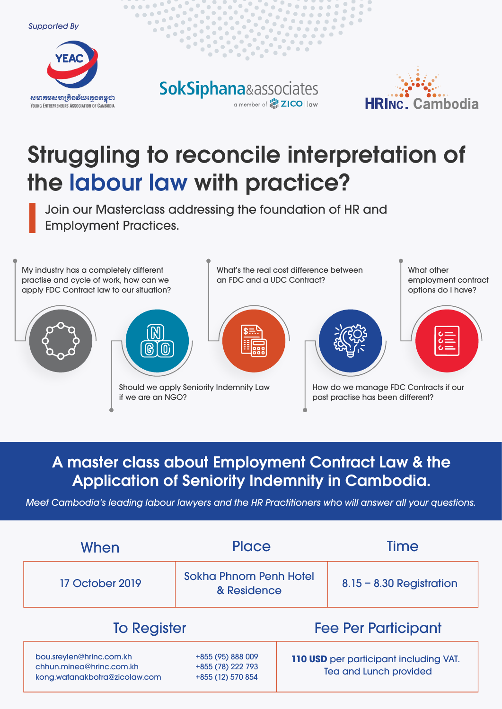Supported By



**SokSiphana**&associates a member of **2ICO** law



 $\bullet$ 

 $\qquad \qquad \Box$  $\Box$ 

 $\bullet\bullet\bullet$ 

 $\bullet\hspace{0.1cm} \bullet\hspace{0.1cm}\bullet\hspace{0.1cm}\bullet\hspace{0.1cm} \bullet$ 

 $\bullet$   $\bullet$  $\bullet$  $\bullet$ 

## Struggling to reconcile interpretation of the labour law with practice?

Join our Masterclass addressing the foundation of HR and Employment Practices.



### A master class about Employment Contract Law & the Application of Seniority Indemnity in Cambodia.

Meet Cambodia's leading labour lawyers and the HR Practitioners who will answer all your questions.

| When                                                                                  | <b>Place</b>                                                |                                                                         | <b>Time</b>                |  |
|---------------------------------------------------------------------------------------|-------------------------------------------------------------|-------------------------------------------------------------------------|----------------------------|--|
| 17 October 2019                                                                       | <b>Sokha Phnom Penh Hotel</b><br>& Residence                |                                                                         | $8.15 - 8.30$ Registration |  |
| <b>To Register</b>                                                                    |                                                             | <b>Fee Per Participant</b>                                              |                            |  |
| bou.sreylen@hrinc.com.kh<br>chhun.mineg@hrinc.com.kh<br>kong.watanakbotra@zicolaw.com | +855 (95) 888 009<br>+855 (78) 222 793<br>+855 (12) 570 854 | 110 USD per participant including VAT.<br><b>Tea and Lunch provided</b> |                            |  |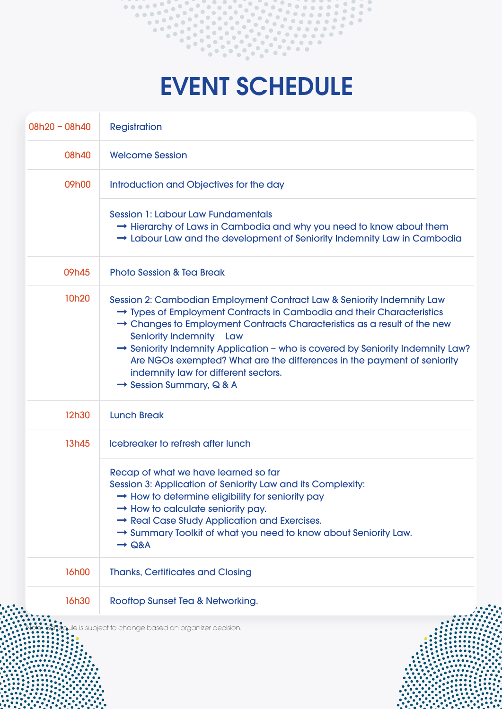

# EVENT SCHEDULE

| $08h20 - 08h40$ | <b>Registration</b>                                                                                                                                                                                                                                                                                                                                                                                                                                                                                                    |
|-----------------|------------------------------------------------------------------------------------------------------------------------------------------------------------------------------------------------------------------------------------------------------------------------------------------------------------------------------------------------------------------------------------------------------------------------------------------------------------------------------------------------------------------------|
| 08h40           | <b>Welcome Session</b>                                                                                                                                                                                                                                                                                                                                                                                                                                                                                                 |
| 09h00           | Introduction and Objectives for the day                                                                                                                                                                                                                                                                                                                                                                                                                                                                                |
|                 | <b>Session 1: Labour Law Fundamentals</b><br>$\rightarrow$ Hierarchy of Laws in Cambodia and why you need to know about them<br>→ Labour Law and the development of Seniority Indemnity Law in Cambodia                                                                                                                                                                                                                                                                                                                |
| 09h45           | <b>Photo Session &amp; Tea Break</b>                                                                                                                                                                                                                                                                                                                                                                                                                                                                                   |
| 10h20           | Session 2: Cambodian Employment Contract Law & Seniority Indemnity Law<br>→ Types of Employment Contracts in Cambodia and their Characteristics<br>$\rightarrow$ Changes to Employment Contracts Characteristics as a result of the new<br><b>Seniority Indemnity Law</b><br>→ Seniority Indemnity Application - who is covered by Seniority Indemnity Law?<br>Are NGOs exempted? What are the differences in the payment of seniority<br>indemnity law for different sectors.<br>$\rightarrow$ Session Summary, Q & A |
| 12h30           | <b>Lunch Break</b>                                                                                                                                                                                                                                                                                                                                                                                                                                                                                                     |
| 13h45           | Icebreaker to refresh after lunch                                                                                                                                                                                                                                                                                                                                                                                                                                                                                      |
|                 | Recap of what we have learned so far<br>Session 3: Application of Seniority Law and its Complexity:<br>$\rightarrow$ How to determine eligibility for seniority pay<br>$\rightarrow$ How to calculate seniority pay.<br>$\rightarrow$ Real Case Study Application and Exercises.<br>→ Summary Toolkit of what you need to know about Seniority Law.<br>$\rightarrow$ Q&A                                                                                                                                               |
| <b>16h00</b>    | <b>Thanks, Certificates and Closing</b>                                                                                                                                                                                                                                                                                                                                                                                                                                                                                |
| <b>16h30</b>    | Rooftop Sunset Tea & Networking.                                                                                                                                                                                                                                                                                                                                                                                                                                                                                       |
|                 | e is subject to change based on organizer decision.                                                                                                                                                                                                                                                                                                                                                                                                                                                                    |